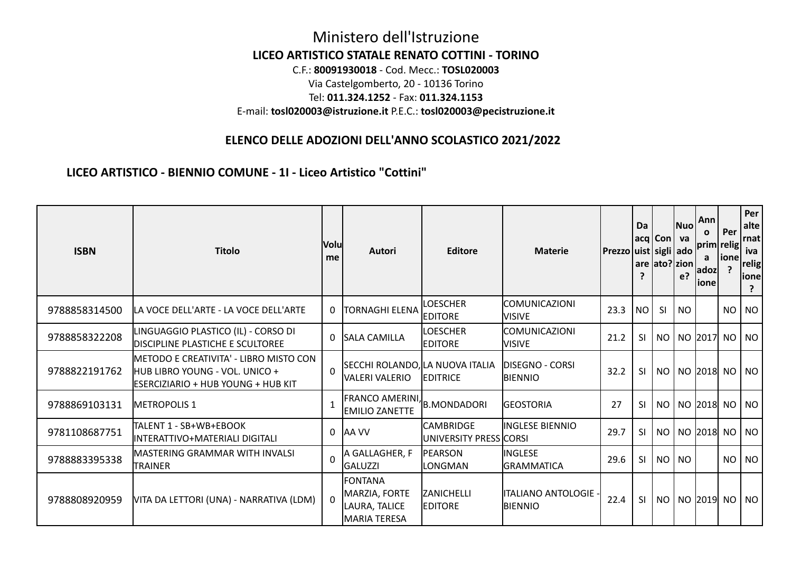## Ministero dell'Istruzione **LICEO ARTISTICO STATALE RENATO COTTINI - TORINO** C.F.: **80091930018** - Cod. Mecc.: **TOSL020003** Via Castelgomberto, 20 - 10136 Torino Tel: **011.324.1252** - Fax: **011.324.1153** E-mail: **tosl020003@istruzione.it** P.E.C.: **tosl020003@pecistruzione.it**

## **ELENCO DELLE ADOZIONI DELL'ANNO SCOLASTICO 2021/2022**

**LICEO ARTISTICO - BIENNIO COMUNE - 1I - Liceo Artistico "Cottini"**

| <b>ISBN</b>   | <b>Titolo</b>                                                                                                           | <b>Volu</b><br>me | <b>Autori</b>                                                    | <b>Editore</b>                                    | <b>Materie</b>                    | Prezzo uist sigli ado | Da<br>?   | $acq Con $ va | Nuol<br>are ato?   zion  <br>e? | Ann<br>0<br>prim relig<br>a<br> adoz <br>ione | Per<br> ione <br>? | Per<br>alte<br>rnat<br>iva<br>relig<br>ionel |
|---------------|-------------------------------------------------------------------------------------------------------------------------|-------------------|------------------------------------------------------------------|---------------------------------------------------|-----------------------------------|-----------------------|-----------|---------------|---------------------------------|-----------------------------------------------|--------------------|----------------------------------------------|
| 9788858314500 | LA VOCE DELL'ARTE - LA VOCE DELL'ARTE                                                                                   | $\mathbf 0$       | <b>TORNAGHI ELENA</b>                                            | <b>LOESCHER</b><br><b>EDITORE</b>                 | COMUNICAZIONI<br><b>NISIVE</b>    | 23.3                  | NO        | <b>SI</b>     | NO.                             |                                               | NO.                | NO                                           |
| 9788858322208 | LINGUAGGIO PLASTICO (IL) - CORSO DI<br><b>DISCIPLINE PLASTICHE E SCULTOREE</b>                                          |                   | 0 SALA CAMILLA                                                   | <b>LOESCHER</b><br><b>IEDITORE</b>                | COMUNICAZIONI<br>Visive           | 21.2                  | -SI       | NO            |                                 | NO  2017  NO   NO                             |                    |                                              |
| 9788822191762 | <b>IMETODO E CREATIVITA' - LIBRO MISTO CON</b><br>HUB LIBRO YOUNG - VOL. UNICO +<br>IESERCIZIARIO + HUB YOUNG + HUB KIT | $\mathbf{0}$      | SECCHI ROLANDO, LA NUOVA ITALIA<br>IVALERI VALERIO               | <b>EDITRICE</b>                                   | <b>DISEGNO - CORSI</b><br>BIENNIO | 32.2                  | <b>SI</b> |               |                                 | NO   NO  2018  NO   NO                        |                    |                                              |
| 9788869103131 | <b>IMETROPOLIS 1</b>                                                                                                    | $\mathbf{1}$      | FRANCO AMERINI, B.MONDADORI<br><b>IEMILIO ZANETTE</b>            |                                                   | <b>GEOSTORIA</b>                  | 27                    | -SI       | NO            |                                 | NO  2018  NO   NO                             |                    |                                              |
| 9781108687751 | TALENT 1 - SB+WB+EBOOK<br>INTERATTIVO+MATERIALI DIGITALI                                                                |                   | 0 AA VV                                                          | <b>CAMBRIDGE</b><br><b>UNIVERSITY PRESS CORSI</b> | INGLESE BIENNIO                   | 29.7                  | <b>SI</b> | NO            |                                 | NO 2018 NO NO                                 |                    |                                              |
| 9788883395338 | MASTERING GRAMMAR WITH INVALSI<br>TRAINER                                                                               | $\Omega$          | A GALLAGHER, F<br><b>GALUZZI</b>                                 | <b>PEARSON</b><br>LONGMAN                         | INGLESE<br><b>GRAMMATICA</b>      | 29.6                  | -SI       | NO            | NO                              |                                               |                    | NO NO                                        |
| 9788808920959 | VITA DA LETTORI (UNA) - NARRATIVA (LDM)                                                                                 | $\Omega$          | <b>FONTANA</b><br>MARZIA, FORTE<br>LAURA, TALICE<br>MARIA TERESA | <b>ZANICHELLI</b><br><b>EDITORE</b>               | litaliano antologie ·<br>BIENNIO  | 22.4                  | <b>SI</b> |               |                                 | NO   NO  2019  NO   NO                        |                    |                                              |